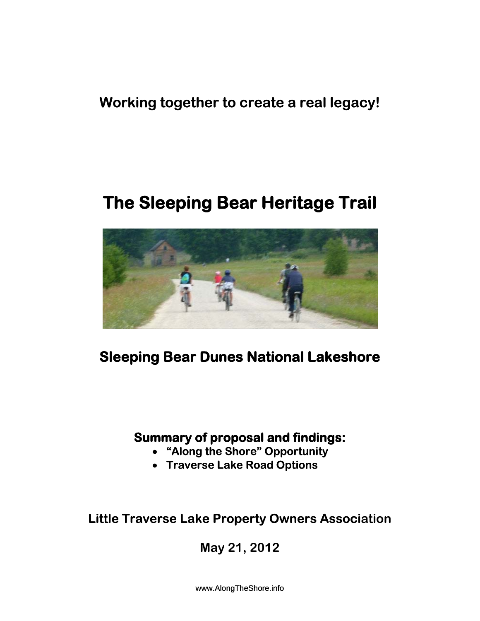### **Working together to create a real legacy!**

# **The Sleeping Bear Heritage Trail**



## **Sleeping Bear Dunes National Lakeshore**

#### **Summary of proposal and findings:**

- **"Along the Shore" Opportunity**
- **Traverse Lake Road Options**

**Little Traverse Lake Property Owners Associ Association** 

**May 21, 2012** 

www.AlongTheShore.info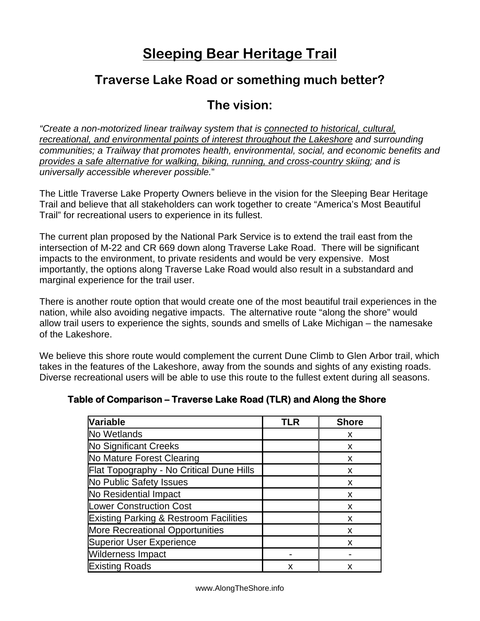## **Sleeping Bear Heritage Trail**

#### **Traverse Lake Road or something much better?**

#### **The vision:**

*"Create a non-motorized linear trailway system that is connected to historical, cultural, recreational, and environmental points of interest throughout the Lakeshore and surrounding communities; a Trailway that promotes health, environmental, social, and economic benefits and provides a safe alternative for walking, biking, running, and cross-country skiing; and is universally accessible wherever possible.*"

The Little Traverse Lake Property Owners believe in the vision for the Sleeping Bear Heritage Trail and believe that all stakeholders can work together to create "America's Most Beautiful Trail" for recreational users to experience in its fullest.

The current plan proposed by the National Park Service is to extend the trail east from the intersection of M-22 and CR 669 down along Traverse Lake Road. There will be significant impacts to the environment, to private residents and would be very expensive. Most importantly, the options along Traverse Lake Road would also result in a substandard and marginal experience for the trail user.

There is another route option that would create one of the most beautiful trail experiences in the nation, while also avoiding negative impacts. The alternative route "along the shore" would allow trail users to experience the sights, sounds and smells of Lake Michigan – the namesake of the Lakeshore.

We believe this shore route would complement the current Dune Climb to Glen Arbor trail, which takes in the features of the Lakeshore, away from the sounds and sights of any existing roads. Diverse recreational users will be able to use this route to the fullest extent during all seasons.

#### **Table of Comparison – Traverse Lake Road (TLR) and Along the Shore**

| Variable                                          | TLR | <b>Shore</b> |
|---------------------------------------------------|-----|--------------|
| No Wetlands                                       |     | X            |
| <b>No Significant Creeks</b>                      |     | x            |
| No Mature Forest Clearing                         |     | X            |
| Flat Topography - No Critical Dune Hills          |     | X            |
| No Public Safety Issues                           |     | X            |
| No Residential Impact                             |     | X            |
| <b>Lower Construction Cost</b>                    |     | X            |
| <b>Existing Parking &amp; Restroom Facilities</b> |     | X            |
| <b>More Recreational Opportunities</b>            |     | X            |
| <b>Superior User Experience</b>                   |     | x            |
| <b>Wilderness Impact</b>                          |     |              |
| <b>Existing Roads</b>                             | x   | x            |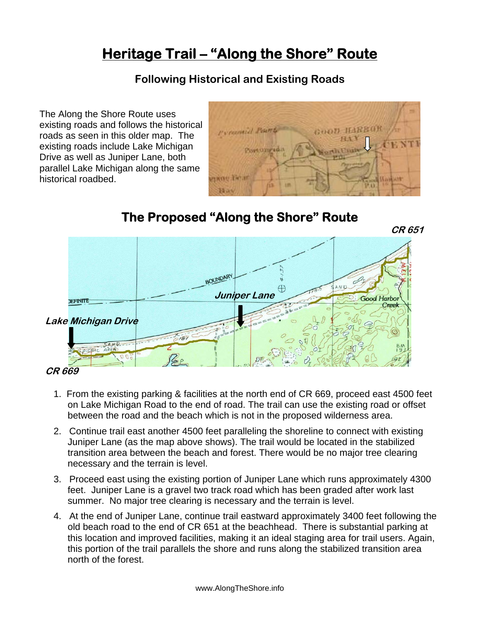## **Heritage Trail – "Along the Shore" Route**

#### **Following Historical and Existing Roads**

The Along the Shore Route uses existing roads and follows the historical roads as seen in this older map. The existing roads include Lake Michigan Drive as well as Juniper Lane, both parallel Lake Michigan along the same historical roadbed.



#### **The Proposed "Along the Shore" Route**



**CR 669**

- 1. From the existing parking & facilities at the north end of CR 669, proceed east 4500 feet on Lake Michigan Road to the end of road. The trail can use the existing road or offset between the road and the beach which is not in the proposed wilderness area.
- 2. Continue trail east another 4500 feet paralleling the shoreline to connect with existing Juniper Lane (as the map above shows). The trail would be located in the stabilized transition area between the beach and forest. There would be no major tree clearing necessary and the terrain is level.
- 3. Proceed east using the existing portion of Juniper Lane which runs approximately 4300 feet. Juniper Lane is a gravel two track road which has been graded after work last summer. No major tree clearing is necessary and the terrain is level.
- 4. At the end of Juniper Lane, continue trail eastward approximately 3400 feet following the old beach road to the end of CR 651 at the beachhead. There is substantial parking at this location and improved facilities, making it an ideal staging area for trail users. Again, this portion of the trail parallels the shore and runs along the stabilized transition area north of the forest.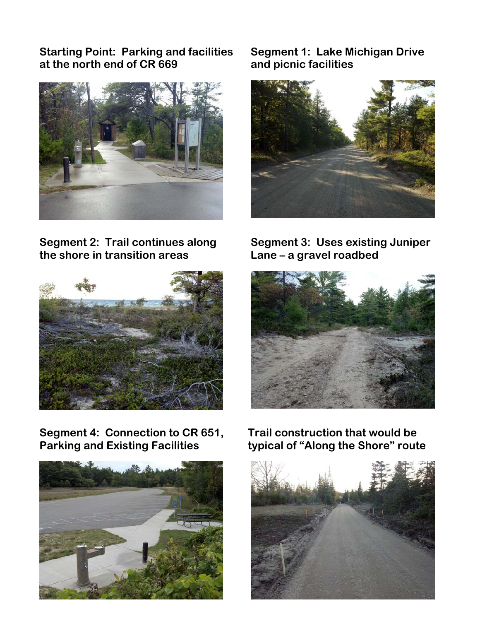**Starting Point: Parking and facilities Segment 1: Lake Michigan Drive at the north end of CR 669 and picnic facilities** 



**the shore in transition areas**  Segment 2: Trail continues along Segment 3: Uses existing Juniper



**Segment 4: Connection to CR 651, Parking and Existing Facilities** 





 **Lane – a gravel roadbed** 



 **Trail construction that would be typical of "Along the Shore" route** 

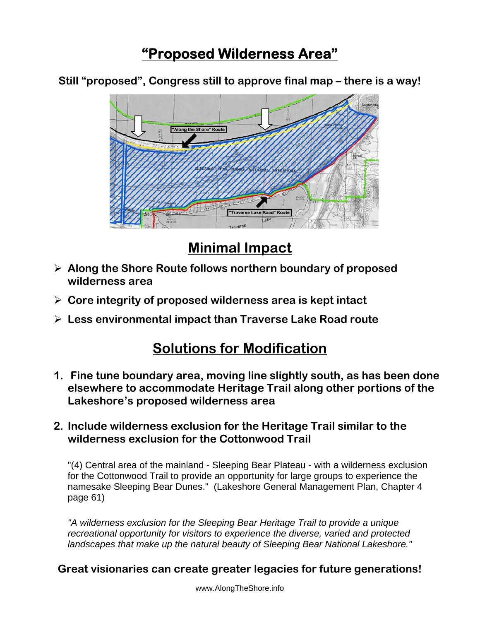## **"Proposed Wilderness Area"**

**Still "proposed", Congress still to approve final map – there is a way!** 



## **Minimal Impact**

- ¾ **Along the Shore Route follows northern boundary of proposed wilderness area**
- ¾ **Core integrity of proposed wilderness area is kept intact**
- ¾ **Less environmental impact than Traverse Lake Road route**

## **Solutions for Modification**

**1. Fine tune boundary area, moving line slightly south, as has been done elsewhere to accommodate Heritage Trail along other portions of the Lakeshore's proposed wilderness area** 

#### **2. Include wilderness exclusion for the Heritage Trail similar to the wilderness exclusion for the Cottonwood Trail**

"(4) Central area of the mainland - Sleeping Bear Plateau - with a wilderness exclusion for the Cottonwood Trail to provide an opportunity for large groups to experience the namesake Sleeping Bear Dunes." (Lakeshore General Management Plan, Chapter 4 page 61)

*"A wilderness exclusion for the Sleeping Bear Heritage Trail to provide a unique recreational opportunity for visitors to experience the diverse, varied and protected landscapes that make up the natural beauty of Sleeping Bear National Lakeshore."* 

#### **Great visionaries can create greater legacies for future generations!**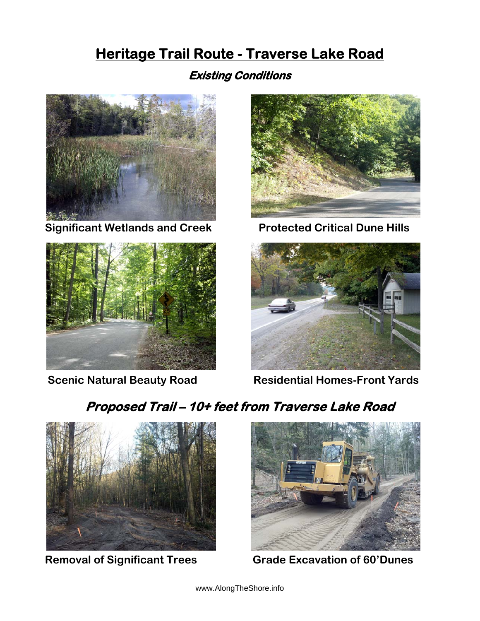## **Heritage Trail Route - Traverse Lake Road**

#### **Existing Conditions**



 **Significant Wetlands and Creek Protected Critical Dune Hills** 







 **Scenic Natural Beauty Road Mesidential Homes-Front Yards** 

## **Proposed Trail – 10+ feet from Traverse L ake Road**





 **Removal of Significant Trees Grade Excavation of 60'Dunes**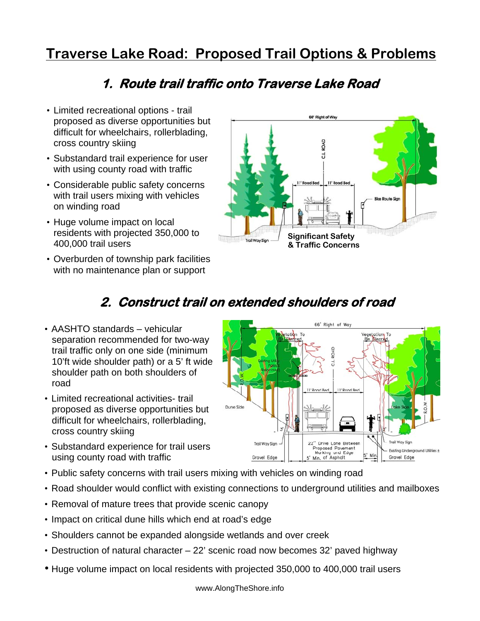## **Traverse Lake Road: Proposed Trail Options & Problems**

#### **1. Route trail traffic onto Traverse Lake Road**

- Limited recreational options trail proposed as diverse opportunities but difficult for wheelchairs, rollerblading, cross country skiing
- Substandard trail experience for user with using county road with traffic
- Considerable public safety concerns with trail users mixing with vehicles on winding road
- Huge volume impact on local residents with projected 350,000 to 400,000 trail users
- Overburden of township park facilities with no maintenance plan or support



### **2. Construct trail on extended shoulders of road**

- AASHTO standards vehicular separation recommended for two-way trail traffic only on one side (minimum 10'ft wide shoulder path) or a 5' ft wide shoulder path on both shoulders of road
- Limited recreational activities- trail proposed as diverse opportunities but difficult for wheelchairs, rollerblading, cross country skiing
- Substandard experience for trail users using county road with traffic
- 66' Right of Way tation To Vegetation To Dune Side Trail Way Sign Drive Lane Between Trail Way Sian Proposed Pavement<br>Marking and Edge<br>5' Min. of Asphalt Existing Underground Utilities ± Gravel Edge Gravel Edge
- Public safety concerns with trail users mixing with vehicles on winding road
- Road shoulder would conflict with existing connections to underground utilities and mailboxes
- Removal of mature trees that provide scenic canopy
- Impact on critical dune hills which end at road's edge
- Shoulders cannot be expanded alongside wetlands and over creek
- Destruction of natural character 22' scenic road now becomes 32' paved highway
- Huge volume impact on local residents with projected 350,000 to 400,000 trail users